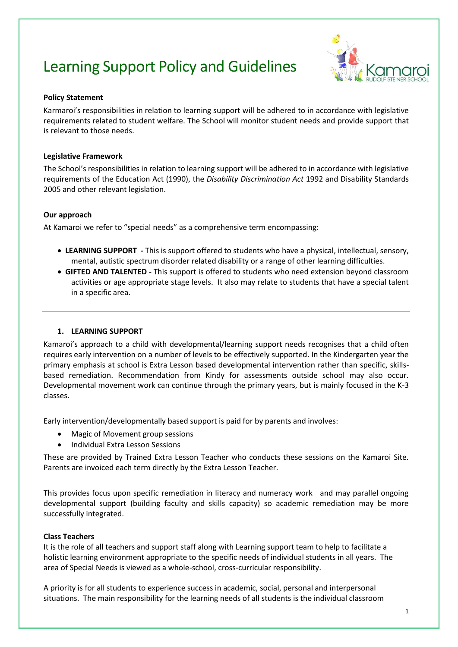# Learning Support Policy and Guidelines



# **Policy Statement**

Karmaroi's responsibilities in relation to learning support will be adhered to in accordance with legislative requirements related to student welfare. The School will monitor student needs and provide support that is relevant to those needs.

# **Legislative Framework**

The School's responsibilities in relation to learning support will be adhered to in accordance with legislative requirements of the Education Act (1990), the *Disability Discrimination Act* 1992 and Disability Standards 2005 and other relevant legislation.

# **Our approach**

At Kamaroi we refer to "special needs" as a comprehensive term encompassing:

- **LEARNING SUPPORT -** This is support offered to students who have a physical, intellectual, sensory, mental, autistic spectrum disorder related disability or a range of other learning difficulties.
- **GIFTED AND TALENTED -** This support is offered to students who need extension beyond classroom activities or age appropriate stage levels. It also may relate to students that have a special talent in a specific area.

# **1. LEARNING SUPPORT**

Kamaroi's approach to a child with developmental/learning support needs recognises that a child often requires early intervention on a number of levels to be effectively supported. In the Kindergarten year the primary emphasis at school is Extra Lesson based developmental intervention rather than specific, skillsbased remediation. Recommendation from Kindy for assessments outside school may also occur. Developmental movement work can continue through the primary years, but is mainly focused in the K-3 classes.

Early intervention/developmentally based support is paid for by parents and involves:

- Magic of Movement group sessions
- Individual Extra Lesson Sessions

These are provided by Trained Extra Lesson Teacher who conducts these sessions on the Kamaroi Site. Parents are invoiced each term directly by the Extra Lesson Teacher.

This provides focus upon specific remediation in literacy and numeracy work and may parallel ongoing developmental support (building faculty and skills capacity) so academic remediation may be more successfully integrated.

## **Class Teachers**

It is the role of all teachers and support staff along with Learning support team to help to facilitate a holistic learning environment appropriate to the specific needs of individual students in all years. The area of Special Needs is viewed as a whole-school, cross-curricular responsibility.

A priority is for all students to experience success in academic, social, personal and interpersonal situations. The main responsibility for the learning needs of all students is the individual classroom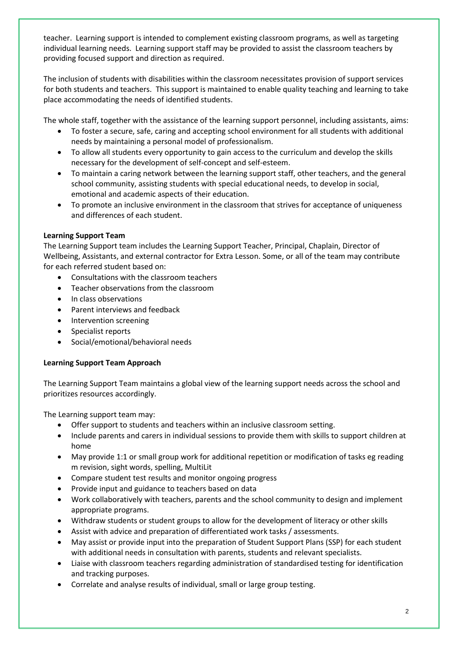teacher. Learning support is intended to complement existing classroom programs, as well as targeting individual learning needs. Learning support staff may be provided to assist the classroom teachers by providing focused support and direction as required.

The inclusion of students with disabilities within the classroom necessitates provision of support services for both students and teachers. This support is maintained to enable quality teaching and learning to take place accommodating the needs of identified students.

The whole staff, together with the assistance of the learning support personnel, including assistants, aims:

- To foster a secure, safe, caring and accepting school environment for all students with additional needs by maintaining a personal model of professionalism.
- To allow all students every opportunity to gain access to the curriculum and develop the skills necessary for the development of self-concept and self-esteem.
- To maintain a caring network between the learning support staff, other teachers, and the general school community, assisting students with special educational needs, to develop in social, emotional and academic aspects of their education.
- To promote an inclusive environment in the classroom that strives for acceptance of uniqueness and differences of each student.

# **Learning Support Team**

The Learning Support team includes the Learning Support Teacher, Principal, Chaplain, Director of Wellbeing, Assistants, and external contractor for Extra Lesson. Some, or all of the team may contribute for each referred student based on:

- Consultations with the classroom teachers
- Teacher observations from the classroom
- In class observations
- Parent interviews and feedback
- Intervention screening
- Specialist reports
- Social/emotional/behavioral needs

# **Learning Support Team Approach**

The Learning Support Team maintains a global view of the learning support needs across the school and prioritizes resources accordingly.

The Learning support team may:

- Offer support to students and teachers within an inclusive classroom setting.
- Include parents and carers in individual sessions to provide them with skills to support children at home
- May provide 1:1 or small group work for additional repetition or modification of tasks eg reading m revision, sight words, spelling, MultiLit
- Compare student test results and monitor ongoing progress
- Provide input and guidance to teachers based on data
- Work collaboratively with teachers, parents and the school community to design and implement appropriate programs.
- Withdraw students or student groups to allow for the development of literacy or other skills
- Assist with advice and preparation of differentiated work tasks / assessments.
- May assist or provide input into the preparation of Student Support Plans (SSP) for each student with additional needs in consultation with parents, students and relevant specialists.
- Liaise with classroom teachers regarding administration of standardised testing for identification and tracking purposes.
- Correlate and analyse results of individual, small or large group testing.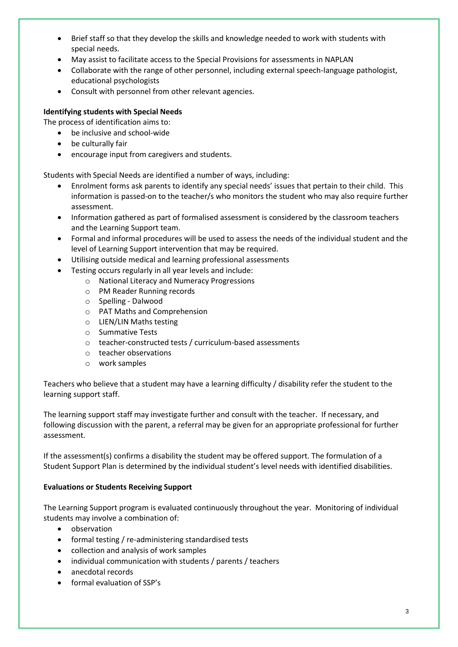- Brief staff so that they develop the skills and knowledge needed to work with students with special needs.
- May assist to facilitate access to the Special Provisions for assessments in NAPLAN
- Collaborate with the range of other personnel, including external speech-language pathologist, educational psychologists
- Consult with personnel from other relevant agencies.

# **Identifying students with Special Needs**

The process of identification aims to:

- be inclusive and school-wide
- be culturally fair
- encourage input from caregivers and students.

Students with Special Needs are identified a number of ways, including:

- Enrolment forms ask parents to identify any special needs' issues that pertain to their child. This information is passed-on to the teacher/s who monitors the student who may also require further assessment.
- Information gathered as part of formalised assessment is considered by the classroom teachers and the Learning Support team.
- Formal and informal procedures will be used to assess the needs of the individual student and the level of Learning Support intervention that may be required.
- Utilising outside medical and learning professional assessments
- Testing occurs regularly in all year levels and include:
	- o National Literacy and Numeracy Progressions
	- o PM Reader Running records
	- o Spelling Dalwood
	- o PAT Maths and Comprehension
	- o LIEN/LIN Maths testing
	- o Summative Tests
	- o teacher-constructed tests / curriculum-based assessments
	- o teacher observations
	- o work samples

Teachers who believe that a student may have a learning difficulty / disability refer the student to the learning support staff.

The learning support staff may investigate further and consult with the teacher. If necessary, and following discussion with the parent, a referral may be given for an appropriate professional for further assessment.

If the assessment(s) confirms a disability the student may be offered support. The formulation of a Student Support Plan is determined by the individual student's level needs with identified disabilities.

# **Evaluations or Students Receiving Support**

The Learning Support program is evaluated continuously throughout the year. Monitoring of individual students may involve a combination of:

- observation
- formal testing / re-administering standardised tests
- collection and analysis of work samples
- individual communication with students / parents / teachers
- anecdotal records
- formal evaluation of SSP's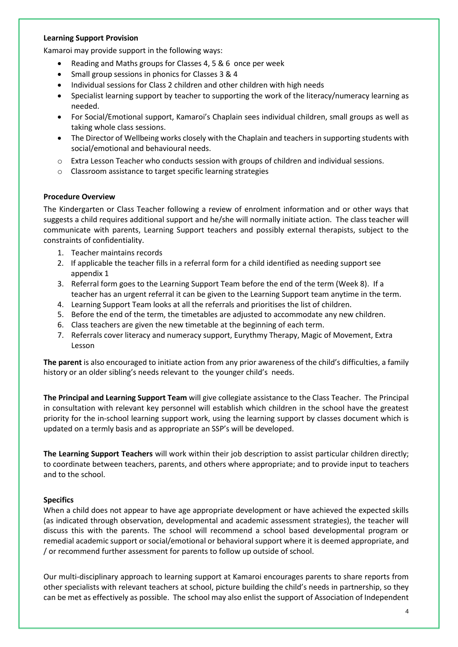#### **Learning Support Provision**

Kamaroi may provide support in the following ways:

- Reading and Maths groups for Classes 4, 5 & 6 once per week
- Small group sessions in phonics for Classes 3 & 4
- Individual sessions for Class 2 children and other children with high needs
- Specialist learning support by teacher to supporting the work of the literacy/numeracy learning as needed.
- For Social/Emotional support, Kamaroi's Chaplain sees individual children, small groups as well as taking whole class sessions.
- The Director of Wellbeing works closely with the Chaplain and teachers in supporting students with social/emotional and behavioural needs.
- o Extra Lesson Teacher who conducts session with groups of children and individual sessions.
- o Classroom assistance to target specific learning strategies

## **Procedure Overview**

The Kindergarten or Class Teacher following a review of enrolment information and or other ways that suggests a child requires additional support and he/she will normally initiate action. The class teacher will communicate with parents, Learning Support teachers and possibly external therapists, subject to the constraints of confidentiality.

- 1. Teacher maintains records
- 2. If applicable the teacher fills in a referral form for a child identified as needing support see appendix 1
- 3. Referral form goes to the Learning Support Team before the end of the term (Week 8). If a teacher has an urgent referral it can be given to the Learning Support team anytime in the term.
- 4. Learning Support Team looks at all the referrals and prioritises the list of children.
- 5. Before the end of the term, the timetables are adjusted to accommodate any new children.
- 6. Class teachers are given the new timetable at the beginning of each term.
- 7. Referrals cover literacy and numeracy support, Eurythmy Therapy, Magic of Movement, Extra Lesson

**The parent** is also encouraged to initiate action from any prior awareness of the child's difficulties, a family history or an older sibling's needs relevant to the younger child's needs.

**The Principal and Learning Support Team** will give collegiate assistance to the Class Teacher. The Principal in consultation with relevant key personnel will establish which children in the school have the greatest priority for the in-school learning support work, using the learning support by classes document which is updated on a termly basis and as appropriate an SSP's will be developed.

**The Learning Support Teachers** will work within their job description to assist particular children directly; to coordinate between teachers, parents, and others where appropriate; and to provide input to teachers and to the school.

## **Specifics**

When a child does not appear to have age appropriate development or have achieved the expected skills (as indicated through observation, developmental and academic assessment strategies), the teacher will discuss this with the parents. The school will recommend a school based developmental program or remedial academic support or social/emotional or behavioral support where it is deemed appropriate, and / or recommend further assessment for parents to follow up outside of school.

Our multi-disciplinary approach to learning support at Kamaroi encourages parents to share reports from other specialists with relevant teachers at school, picture building the child's needs in partnership, so they can be met as effectively as possible. The school may also enlist the support of Association of Independent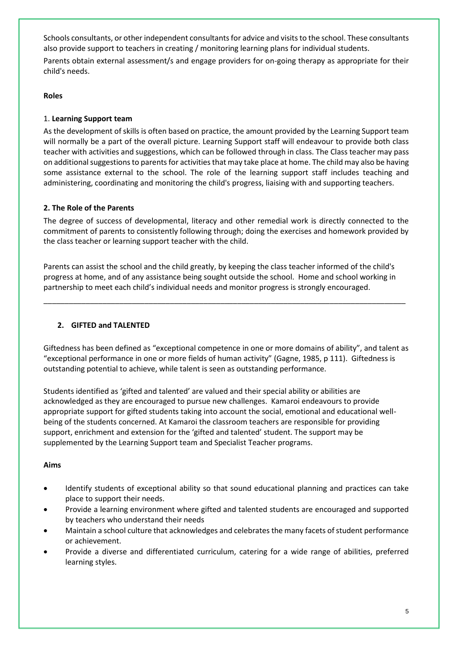Schools consultants, or other independent consultants for advice and visits to the school. These consultants also provide support to teachers in creating / monitoring learning plans for individual students.

Parents obtain external assessment/s and engage providers for on-going therapy as appropriate for their child's needs.

# **Roles**

# 1. **Learning Support team**

As the development of skills is often based on practice, the amount provided by the Learning Support team will normally be a part of the overall picture. Learning Support staff will endeavour to provide both class teacher with activities and suggestions, which can be followed through in class. The Class teacher may pass on additional suggestions to parents for activities that may take place at home. The child may also be having some assistance external to the school. The role of the learning support staff includes teaching and administering, coordinating and monitoring the child's progress, liaising with and supporting teachers.

# **2. The Role of the Parents**

The degree of success of developmental, literacy and other remedial work is directly connected to the commitment of parents to consistently following through; doing the exercises and homework provided by the class teacher or learning support teacher with the child.

Parents can assist the school and the child greatly, by keeping the class teacher informed of the child's progress at home, and of any assistance being sought outside the school. Home and school working in partnership to meet each child's individual needs and monitor progress is strongly encouraged.

\_\_\_\_\_\_\_\_\_\_\_\_\_\_\_\_\_\_\_\_\_\_\_\_\_\_\_\_\_\_\_\_\_\_\_\_\_\_\_\_\_\_\_\_\_\_\_\_\_\_\_\_\_\_\_\_\_\_\_\_\_\_\_\_\_\_\_\_\_\_\_\_\_\_\_\_\_\_\_\_\_\_\_\_\_\_

# **2. GIFTED and TALENTED**

Giftedness has been defined as "exceptional competence in one or more domains of ability", and talent as "exceptional performance in one or more fields of human activity" (Gagne, 1985, p 111). Giftedness is outstanding potential to achieve, while talent is seen as outstanding performance.

Students identified as 'gifted and talented' are valued and their special ability or abilities are acknowledged as they are encouraged to pursue new challenges. Kamaroi endeavours to provide appropriate support for gifted students taking into account the social, emotional and educational wellbeing of the students concerned. At Kamaroi the classroom teachers are responsible for providing support, enrichment and extension for the 'gifted and talented' student. The support may be supplemented by the Learning Support team and Specialist Teacher programs.

## **Aims**

- Identify students of exceptional ability so that sound educational planning and practices can take place to support their needs.
- Provide a learning environment where gifted and talented students are encouraged and supported by teachers who understand their needs
- Maintain a school culture that acknowledges and celebrates the many facets of student performance or achievement.
- Provide a diverse and differentiated curriculum, catering for a wide range of abilities, preferred learning styles.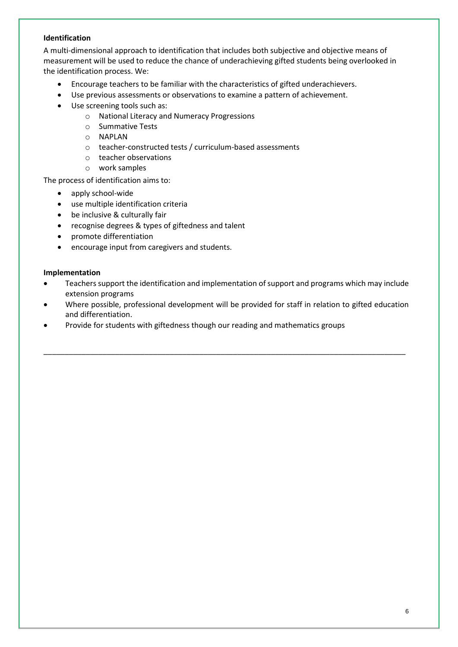# **Identification**

A multi-dimensional approach to identification that includes both subjective and objective means of measurement will be used to reduce the chance of underachieving gifted students being overlooked in the identification process. We:

- Encourage teachers to be familiar with the characteristics of gifted underachievers.
- Use previous assessments or observations to examine a pattern of achievement.
- Use screening tools such as:
	- o National Literacy and Numeracy Progressions
	- o Summative Tests
	- o NAPLAN
	- o teacher-constructed tests / curriculum-based assessments
	- o teacher observations
	- o work samples

The process of identification aims to:

- apply school-wide
- use multiple identification criteria
- be inclusive & culturally fair
- recognise degrees & types of giftedness and talent
- promote differentiation
- encourage input from caregivers and students.

## **Implementation**

- Teachers support the identification and implementation of support and programs which may include extension programs
- Where possible, professional development will be provided for staff in relation to gifted education and differentiation.

\_\_\_\_\_\_\_\_\_\_\_\_\_\_\_\_\_\_\_\_\_\_\_\_\_\_\_\_\_\_\_\_\_\_\_\_\_\_\_\_\_\_\_\_\_\_\_\_\_\_\_\_\_\_\_\_\_\_\_\_\_\_\_\_\_\_\_\_\_\_\_\_\_\_\_\_\_\_\_\_\_\_\_\_\_\_

Provide for students with giftedness though our reading and mathematics groups